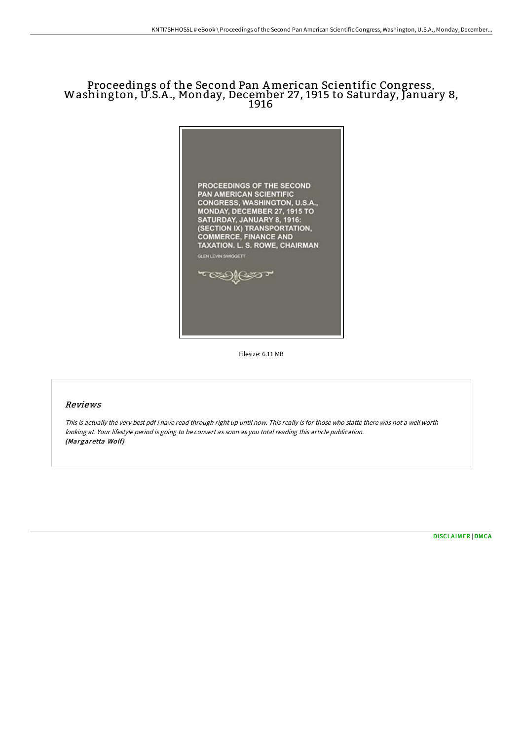# Proceedings of the Second Pan American Scientific Congress, Washington, U.S.A ., Monday, December 27, <sup>1915</sup> to Saturday, January 8, 1916



Filesize: 6.11 MB

#### Reviews

This is actually the very best pdf i have read through right up until now. This really is for those who statte there was not <sup>a</sup> well worth looking at. Your lifestyle period is going to be convert as soon as you total reading this article publication. (Margaretta Wolf)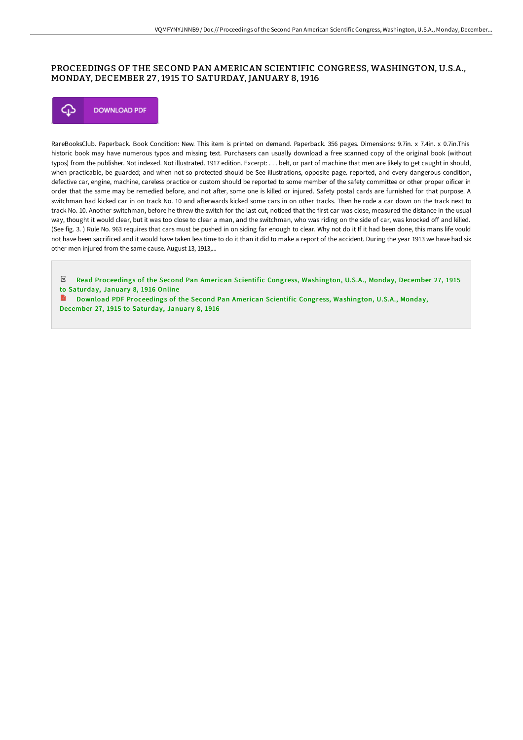### PROCEEDINGS OF THE SECOND PAN AMERICAN SCIENTIFIC CONGRESS, WASHINGTON, U.S.A., MONDAY, DECEMBER 27 , 1915 TO SATURDAY, JANUARY 8, 1916



RareBooksClub. Paperback. Book Condition: New. This item is printed on demand. Paperback. 356 pages. Dimensions: 9.7in. x 7.4in. x 0.7in.This historic book may have numerous typos and missing text. Purchasers can usually download a free scanned copy of the original book (without typos) from the publisher. Not indexed. Not illustrated. 1917 edition. Excerpt: . . . belt, or part of machine that men are likely to get caught in should, when practicable, be guarded; and when not so protected should be See illustrations, opposite page. reported, and every dangerous condition, defective car, engine, machine, careless practice or custom should be reported to some member of the safety committee or other proper oificer in order that the same may be remedied before, and not after, some one is killed or injured. Safety postal cards are furnished for that purpose. A switchman had kicked car in on track No. 10 and afterwards kicked some cars in on other tracks. Then he rode a car down on the track next to track No. 10. Another switchman, before he threw the switch for the last cut, noticed that the first car was close, measured the distance in the usual way, thought it would clear, but it was too close to clear a man, and the switchman, who was riding on the side of car, was knocked off and killed. (See fig. 3. ) Rule No. 963 requires that cars must be pushed in on siding far enough to clear. Why not do it If it had been done, this mans life vould not have been sacrificed and it would have taken less time to do it than it did to make a report of the accident. During the year 1913 we have had six other men injured from the same cause. August 13, 1913,...

 $PDF$ Read Proceedings of the Second Pan American Scientific Congress, [Washington,](http://www.bookdirs.com/proceedings-of-the-second-pan-american-scientifi-1.html) U.S.A., Monday, December 27, 1915 to Saturday, January 8, 1916 Online

B Download PDF Proceedings of the Second Pan American Scientific Congress, [Washington,](http://www.bookdirs.com/proceedings-of-the-second-pan-american-scientifi-1.html) U.S.A., Monday, December 27, 1915 to Saturday, January 8, 1916